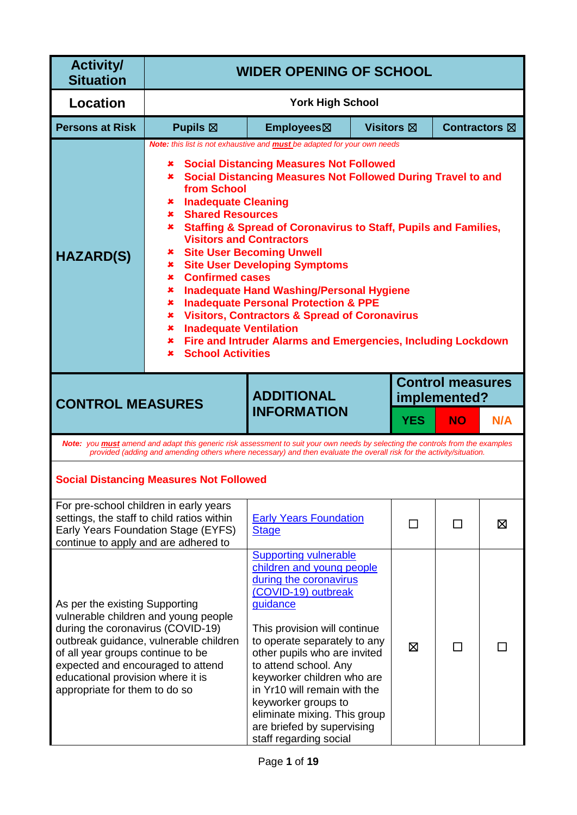| <b>Activity/</b><br><b>Situation</b>                                                                                                                                                                                | <b>WIDER OPENING OF SCHOOL</b>                                                                                                                                                                                                                                                                                                                                                                                                                                                                                                                                                                                                                                                                                                                                                                                                                                             |                                                                                                                                                                                                                                                                                                                                                                                                                              |                   |            |               |     |
|---------------------------------------------------------------------------------------------------------------------------------------------------------------------------------------------------------------------|----------------------------------------------------------------------------------------------------------------------------------------------------------------------------------------------------------------------------------------------------------------------------------------------------------------------------------------------------------------------------------------------------------------------------------------------------------------------------------------------------------------------------------------------------------------------------------------------------------------------------------------------------------------------------------------------------------------------------------------------------------------------------------------------------------------------------------------------------------------------------|------------------------------------------------------------------------------------------------------------------------------------------------------------------------------------------------------------------------------------------------------------------------------------------------------------------------------------------------------------------------------------------------------------------------------|-------------------|------------|---------------|-----|
| <b>Location</b>                                                                                                                                                                                                     |                                                                                                                                                                                                                                                                                                                                                                                                                                                                                                                                                                                                                                                                                                                                                                                                                                                                            | <b>York High School</b>                                                                                                                                                                                                                                                                                                                                                                                                      |                   |            |               |     |
| <b>Persons at Risk</b>                                                                                                                                                                                              | Pupils $\boxtimes$                                                                                                                                                                                                                                                                                                                                                                                                                                                                                                                                                                                                                                                                                                                                                                                                                                                         | Employees⊠                                                                                                                                                                                                                                                                                                                                                                                                                   | <b>Visitors</b> ⊠ |            | Contractors ⊠ |     |
| <b>HAZARD(S)</b>                                                                                                                                                                                                    | Note: this list is not exhaustive and <b>must</b> be adapted for your own needs<br><b>Social Distancing Measures Not Followed</b><br>×<br><b>Social Distancing Measures Not Followed During Travel to and</b><br>×<br>from School<br><b>Inadequate Cleaning</b><br>×<br><b>Shared Resources</b><br>×<br><b>*</b> Staffing & Spread of Coronavirus to Staff, Pupils and Families,<br><b>Visitors and Contractors</b><br><b>Site User Becoming Unwell</b><br>×<br><b>Site User Developing Symptoms</b><br>×<br><b>Confirmed cases</b><br>$\mathbf x$ .<br><b>Inadequate Hand Washing/Personal Hygiene</b><br>×<br><b>Inadequate Personal Protection &amp; PPE</b><br>×<br><b>*</b> Visitors, Contractors & Spread of Coronavirus<br><b>Inadequate Ventilation</b><br>×<br>Fire and Intruder Alarms and Emergencies, Including Lockdown<br>×<br><b>School Activities</b><br>× |                                                                                                                                                                                                                                                                                                                                                                                                                              |                   |            |               |     |
| <b>CONTROL MEASURES</b>                                                                                                                                                                                             | <b>Control measures</b><br><b>ADDITIONAL</b><br>implemented?                                                                                                                                                                                                                                                                                                                                                                                                                                                                                                                                                                                                                                                                                                                                                                                                               |                                                                                                                                                                                                                                                                                                                                                                                                                              |                   |            |               |     |
|                                                                                                                                                                                                                     |                                                                                                                                                                                                                                                                                                                                                                                                                                                                                                                                                                                                                                                                                                                                                                                                                                                                            | <b>INFORMATION</b>                                                                                                                                                                                                                                                                                                                                                                                                           |                   | <b>YES</b> | <b>NO</b>     | N/A |
|                                                                                                                                                                                                                     |                                                                                                                                                                                                                                                                                                                                                                                                                                                                                                                                                                                                                                                                                                                                                                                                                                                                            | Note: you <b>must</b> amend and adapt this generic risk assessment to suit your own needs by selecting the controls from the examples<br>provided (adding and amending others where necessary) and then evaluate the overall risk for the activity/situation.                                                                                                                                                                |                   |            |               |     |
|                                                                                                                                                                                                                     | <b>Social Distancing Measures Not Followed</b>                                                                                                                                                                                                                                                                                                                                                                                                                                                                                                                                                                                                                                                                                                                                                                                                                             |                                                                                                                                                                                                                                                                                                                                                                                                                              |                   |            |               |     |
| For pre-school children in early years<br>continue to apply and are adhered to                                                                                                                                      | settings, the staff to child ratios within<br>Early Years Foundation Stage (EYFS)                                                                                                                                                                                                                                                                                                                                                                                                                                                                                                                                                                                                                                                                                                                                                                                          | <b>Early Years Foundation</b><br><b>Stage</b>                                                                                                                                                                                                                                                                                                                                                                                |                   | $\Box$     | П             | ⊠   |
| As per the existing Supporting<br>during the coronavirus (COVID-19)<br>of all year groups continue to be<br>expected and encouraged to attend<br>educational provision where it is<br>appropriate for them to do so | vulnerable children and young people<br>outbreak guidance, vulnerable children                                                                                                                                                                                                                                                                                                                                                                                                                                                                                                                                                                                                                                                                                                                                                                                             | <b>Supporting vulnerable</b><br>children and young people<br>during the coronavirus<br>(COVID-19) outbreak<br>guidance<br>This provision will continue<br>to operate separately to any<br>other pupils who are invited<br>to attend school. Any<br>keyworker children who are<br>in Yr10 will remain with the<br>keyworker groups to<br>eliminate mixing. This group<br>are briefed by supervising<br>staff regarding social |                   | ⊠          |               |     |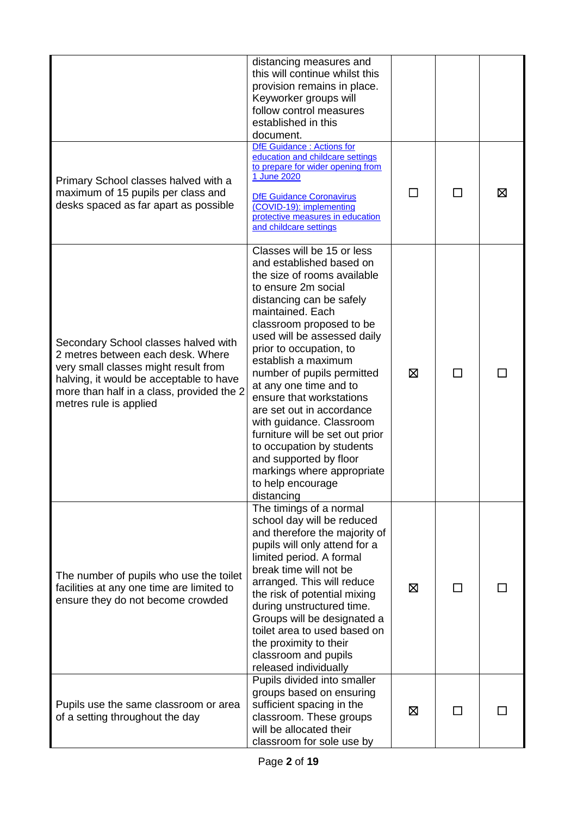|                                                                                                                                                                                                                                     | distancing measures and<br>this will continue whilst this<br>provision remains in place.<br>Keyworker groups will<br>follow control measures<br>established in this<br>document.                                                                                                                                                                                                                                                                                                                                                                                                  |         |              |   |
|-------------------------------------------------------------------------------------------------------------------------------------------------------------------------------------------------------------------------------------|-----------------------------------------------------------------------------------------------------------------------------------------------------------------------------------------------------------------------------------------------------------------------------------------------------------------------------------------------------------------------------------------------------------------------------------------------------------------------------------------------------------------------------------------------------------------------------------|---------|--------------|---|
| Primary School classes halved with a<br>maximum of 15 pupils per class and<br>desks spaced as far apart as possible                                                                                                                 | DfE Guidance : Actions for<br>education and childcare settings<br>to prepare for wider opening from<br>1 June 2020<br><b>DfE Guidance Coronavirus</b><br>(COVID-19): implementing<br>protective measures in education<br>and childcare settings                                                                                                                                                                                                                                                                                                                                   | $\perp$ | $\mathsf{L}$ | X |
| Secondary School classes halved with<br>2 metres between each desk. Where<br>very small classes might result from<br>halving, it would be acceptable to have<br>more than half in a class, provided the 2<br>metres rule is applied | Classes will be 15 or less<br>and established based on<br>the size of rooms available<br>to ensure 2m social<br>distancing can be safely<br>maintained. Each<br>classroom proposed to be<br>used will be assessed daily<br>prior to occupation, to<br>establish a maximum<br>number of pupils permitted<br>at any one time and to<br>ensure that workstations<br>are set out in accordance<br>with guidance. Classroom<br>furniture will be set out prior<br>to occupation by students<br>and supported by floor<br>markings where appropriate<br>to help encourage<br>distancing | ⊠       | П            |   |
| The number of pupils who use the toilet<br>facilities at any one time are limited to<br>ensure they do not become crowded                                                                                                           | The timings of a normal<br>school day will be reduced<br>and therefore the majority of<br>pupils will only attend for a<br>limited period. A formal<br>break time will not be<br>arranged. This will reduce<br>the risk of potential mixing<br>during unstructured time.<br>Groups will be designated a<br>toilet area to used based on<br>the proximity to their<br>classroom and pupils<br>released individually                                                                                                                                                                | ⊠       | ΙI           |   |
| Pupils use the same classroom or area<br>of a setting throughout the day                                                                                                                                                            | Pupils divided into smaller<br>groups based on ensuring<br>sufficient spacing in the<br>classroom. These groups<br>will be allocated their<br>classroom for sole use by                                                                                                                                                                                                                                                                                                                                                                                                           | ⊠       |              |   |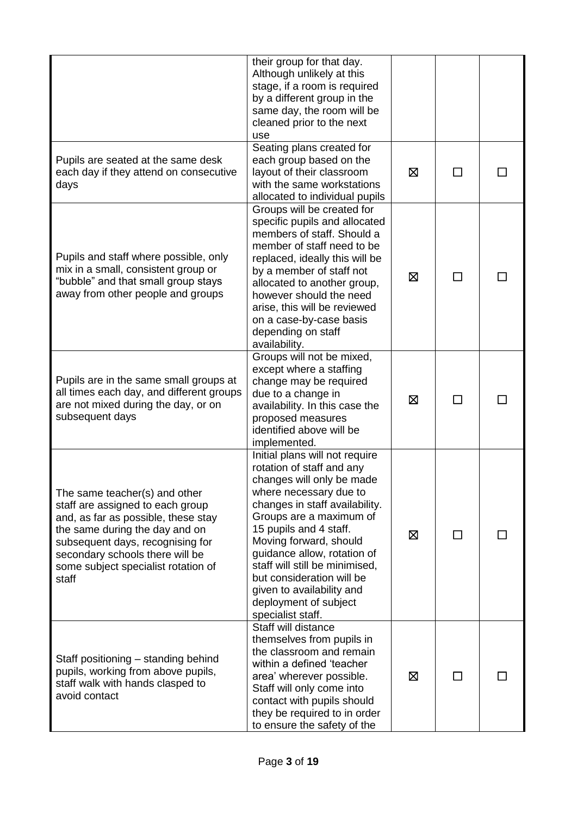|                                                                                                                                                                                                                                                                   | their group for that day.<br>Although unlikely at this<br>stage, if a room is required<br>by a different group in the<br>same day, the room will be<br>cleaned prior to the next<br>use                                                                                                                                                                                                                      |   |    |  |
|-------------------------------------------------------------------------------------------------------------------------------------------------------------------------------------------------------------------------------------------------------------------|--------------------------------------------------------------------------------------------------------------------------------------------------------------------------------------------------------------------------------------------------------------------------------------------------------------------------------------------------------------------------------------------------------------|---|----|--|
| Pupils are seated at the same desk<br>each day if they attend on consecutive<br>days                                                                                                                                                                              | Seating plans created for<br>each group based on the<br>layout of their classroom<br>with the same workstations<br>allocated to individual pupils                                                                                                                                                                                                                                                            | ⊠ |    |  |
| Pupils and staff where possible, only<br>mix in a small, consistent group or<br>"bubble" and that small group stays<br>away from other people and groups                                                                                                          | Groups will be created for<br>specific pupils and allocated<br>members of staff. Should a<br>member of staff need to be<br>replaced, ideally this will be<br>by a member of staff not<br>allocated to another group,<br>however should the need<br>arise, this will be reviewed<br>on a case-by-case basis<br>depending on staff<br>availability.                                                            | 区 | ΙI |  |
| Pupils are in the same small groups at<br>all times each day, and different groups<br>are not mixed during the day, or on<br>subsequent days                                                                                                                      | Groups will not be mixed,<br>except where a staffing<br>change may be required<br>due to a change in<br>availability. In this case the<br>proposed measures<br>identified above will be<br>implemented.                                                                                                                                                                                                      | 区 |    |  |
| The same teacher(s) and other<br>staff are assigned to each group<br>and, as far as possible, these stay<br>the same during the day and on<br>subsequent days, recognising for<br>secondary schools there will be<br>some subject specialist rotation of<br>staff | Initial plans will not require<br>rotation of staff and any<br>changes will only be made<br>where necessary due to<br>changes in staff availability.<br>Groups are a maximum of<br>15 pupils and 4 staff.<br>Moving forward, should<br>guidance allow, rotation of<br>staff will still be minimised,<br>but consideration will be<br>given to availability and<br>deployment of subject<br>specialist staff. | ⊠ | ΙI |  |
| Staff positioning – standing behind<br>pupils, working from above pupils,<br>staff walk with hands clasped to<br>avoid contact                                                                                                                                    | Staff will distance<br>themselves from pupils in<br>the classroom and remain<br>within a defined 'teacher<br>area' wherever possible.<br>Staff will only come into<br>contact with pupils should<br>they be required to in order<br>to ensure the safety of the                                                                                                                                              | ⊠ | ΙI |  |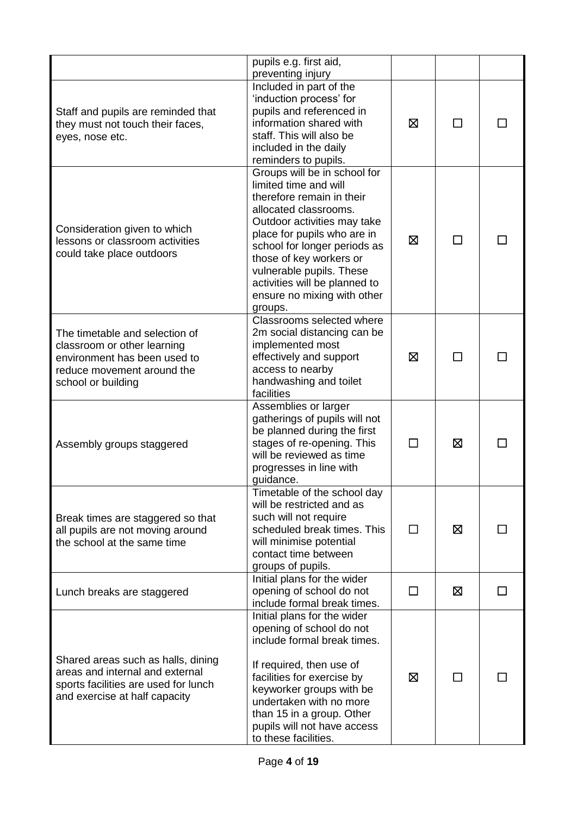|                                                                                                                                                   | pupils e.g. first aid,<br>preventing injury                                                                                                                                                                                                                                                                                                 |              |   |  |
|---------------------------------------------------------------------------------------------------------------------------------------------------|---------------------------------------------------------------------------------------------------------------------------------------------------------------------------------------------------------------------------------------------------------------------------------------------------------------------------------------------|--------------|---|--|
| Staff and pupils are reminded that<br>they must not touch their faces,<br>eyes, nose etc.                                                         | Included in part of the<br>'induction process' for<br>pupils and referenced in<br>information shared with<br>staff. This will also be<br>included in the daily<br>reminders to pupils.                                                                                                                                                      | ⊠            |   |  |
| Consideration given to which<br>lessons or classroom activities<br>could take place outdoors                                                      | Groups will be in school for<br>limited time and will<br>therefore remain in their<br>allocated classrooms.<br>Outdoor activities may take<br>place for pupils who are in<br>school for longer periods as<br>those of key workers or<br>vulnerable pupils. These<br>activities will be planned to<br>ensure no mixing with other<br>groups. | ⊠            |   |  |
| The timetable and selection of<br>classroom or other learning<br>environment has been used to<br>reduce movement around the<br>school or building | Classrooms selected where<br>2m social distancing can be<br>implemented most<br>effectively and support<br>access to nearby<br>handwashing and toilet<br>facilities                                                                                                                                                                         | ⊠            |   |  |
| Assembly groups staggered                                                                                                                         | Assemblies or larger<br>gatherings of pupils will not<br>be planned during the first<br>stages of re-opening. This<br>will be reviewed as time<br>progresses in line with<br>guidance.                                                                                                                                                      | $\Box$       | Ø |  |
| Break times are staggered so that<br>all pupils are not moving around<br>the school at the same time                                              | Timetable of the school day<br>will be restricted and as<br>such will not require<br>scheduled break times. This<br>will minimise potential<br>contact time between<br>groups of pupils.                                                                                                                                                    | $\mathsf{L}$ | ⊠ |  |
| Lunch breaks are staggered                                                                                                                        | Initial plans for the wider<br>opening of school do not<br>include formal break times.                                                                                                                                                                                                                                                      | П            | ⊠ |  |
| Shared areas such as halls, dining<br>areas and internal and external<br>sports facilities are used for lunch<br>and exercise at half capacity    | Initial plans for the wider<br>opening of school do not<br>include formal break times.<br>If required, then use of<br>facilities for exercise by<br>keyworker groups with be<br>undertaken with no more<br>than 15 in a group. Other<br>pupils will not have access<br>to these facilities.                                                 | ⊠            |   |  |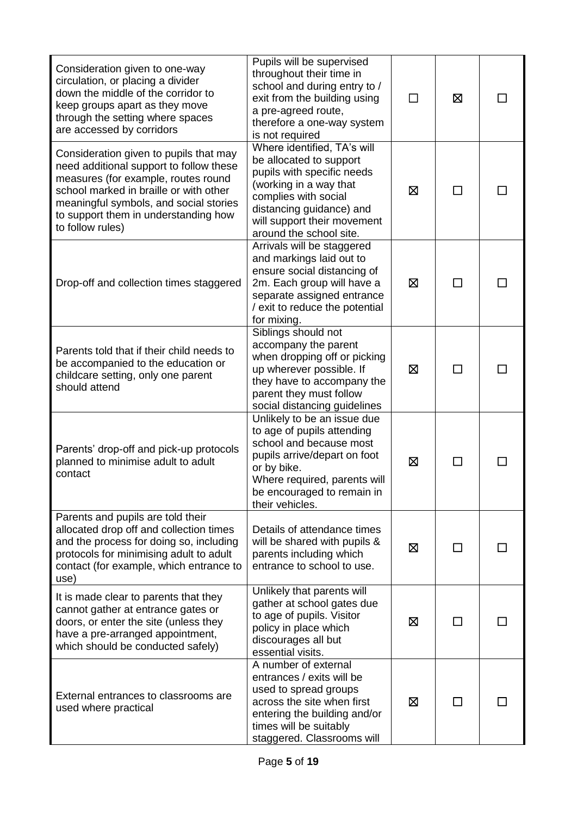| Consideration given to one-way<br>circulation, or placing a divider<br>down the middle of the corridor to<br>keep groups apart as they move<br>through the setting where spaces<br>are accessed by corridors                                                             | Pupils will be supervised<br>throughout their time in<br>school and during entry to /<br>exit from the building using<br>a pre-agreed route,<br>therefore a one-way system<br>is not required                                |   | ⊠               |  |
|--------------------------------------------------------------------------------------------------------------------------------------------------------------------------------------------------------------------------------------------------------------------------|------------------------------------------------------------------------------------------------------------------------------------------------------------------------------------------------------------------------------|---|-----------------|--|
| Consideration given to pupils that may<br>need additional support to follow these<br>measures (for example, routes round<br>school marked in braille or with other<br>meaningful symbols, and social stories<br>to support them in understanding how<br>to follow rules) | Where identified, TA's will<br>be allocated to support<br>pupils with specific needs<br>(working in a way that<br>complies with social<br>distancing guidance) and<br>will support their movement<br>around the school site. | ⊠ | <b>Contract</b> |  |
| Drop-off and collection times staggered                                                                                                                                                                                                                                  | Arrivals will be staggered<br>and markings laid out to<br>ensure social distancing of<br>2m. Each group will have a<br>separate assigned entrance<br>/ exit to reduce the potential<br>for mixing.                           | ⊠ |                 |  |
| Parents told that if their child needs to<br>be accompanied to the education or<br>childcare setting, only one parent<br>should attend                                                                                                                                   | Siblings should not<br>accompany the parent<br>when dropping off or picking<br>up wherever possible. If<br>they have to accompany the<br>parent they must follow<br>social distancing guidelines                             | X | $\sim$          |  |
| Parents' drop-off and pick-up protocols<br>planned to minimise adult to adult<br>contact                                                                                                                                                                                 | Unlikely to be an issue due<br>to age of pupils attending<br>school and because most<br>pupils arrive/depart on foot<br>or by bike.<br>Where required, parents will<br>be encouraged to remain in<br>their vehicles.         | ⊠ |                 |  |
| Parents and pupils are told their<br>allocated drop off and collection times<br>and the process for doing so, including<br>protocols for minimising adult to adult<br>contact (for example, which entrance to<br>use)                                                    | Details of attendance times<br>will be shared with pupils &<br>parents including which<br>entrance to school to use.                                                                                                         | ⊠ | $\blacksquare$  |  |
| It is made clear to parents that they<br>cannot gather at entrance gates or<br>doors, or enter the site (unless they<br>have a pre-arranged appointment,<br>which should be conducted safely)                                                                            | Unlikely that parents will<br>gather at school gates due<br>to age of pupils. Visitor<br>policy in place which<br>discourages all but<br>essential visits.                                                                   | ⊠ |                 |  |
| External entrances to classrooms are<br>used where practical                                                                                                                                                                                                             | A number of external<br>entrances / exits will be<br>used to spread groups<br>across the site when first<br>entering the building and/or<br>times will be suitably<br>staggered. Classrooms will                             | 区 |                 |  |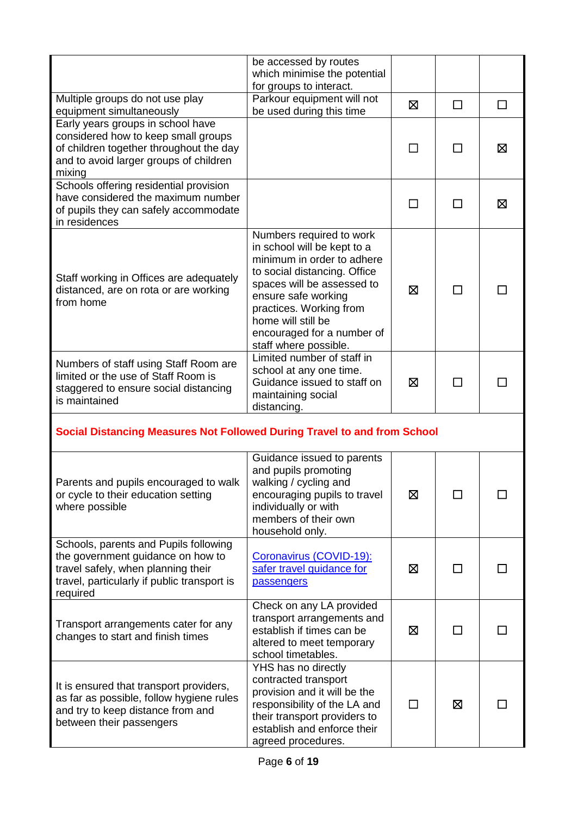|                                                                                                                                                                             | be accessed by routes<br>which minimise the potential<br>for groups to interact.                                                                                                                                                                                                   |   |              |        |
|-----------------------------------------------------------------------------------------------------------------------------------------------------------------------------|------------------------------------------------------------------------------------------------------------------------------------------------------------------------------------------------------------------------------------------------------------------------------------|---|--------------|--------|
| Multiple groups do not use play<br>equipment simultaneously                                                                                                                 | Parkour equipment will not<br>be used during this time                                                                                                                                                                                                                             | ⊠ | $\Box$       | $\Box$ |
| Early years groups in school have<br>considered how to keep small groups<br>of children together throughout the day<br>and to avoid larger groups of children<br>mixing     |                                                                                                                                                                                                                                                                                    | П | П            | ⊠      |
| Schools offering residential provision<br>have considered the maximum number<br>of pupils they can safely accommodate<br>in residences                                      |                                                                                                                                                                                                                                                                                    | П | П            | ⊠      |
| Staff working in Offices are adequately<br>distanced, are on rota or are working<br>from home                                                                               | Numbers required to work<br>in school will be kept to a<br>minimum in order to adhere<br>to social distancing. Office<br>spaces will be assessed to<br>ensure safe working<br>practices. Working from<br>home will still be<br>encouraged for a number of<br>staff where possible. | ⊠ | П            |        |
| Numbers of staff using Staff Room are<br>limited or the use of Staff Room is<br>staggered to ensure social distancing<br>is maintained                                      | Limited number of staff in<br>school at any one time.<br>Guidance issued to staff on<br>maintaining social<br>distancing.                                                                                                                                                          | ⊠ | П            |        |
| Social Distancing Measures Not Followed During Travel to and from School                                                                                                    |                                                                                                                                                                                                                                                                                    |   |              |        |
| Parents and pupils encouraged to walk<br>or cycle to their education setting<br>where possible                                                                              | Guidance issued to parents<br>and pupils promoting<br>walking / cycling and<br>encouraging pupils to travel<br>individually or with<br>members of their own<br>household only.                                                                                                     | 区 | $\mathbf{I}$ |        |
| Schools, parents and Pupils following<br>the government guidance on how to<br>travel safely, when planning their<br>travel, particularly if public transport is<br>required | Coronavirus (COVID-19):<br>safer travel guidance for<br><b>passengers</b>                                                                                                                                                                                                          | ⊠ | □            |        |
| Transport arrangements cater for any<br>changes to start and finish times                                                                                                   | Check on any LA provided<br>transport arrangements and<br>establish if times can be<br>altered to meet temporary<br>school timetables.                                                                                                                                             | 区 | П            |        |
| It is ensured that transport providers,<br>as far as possible, follow hygiene rules<br>and try to keep distance from and<br>between their passengers                        | YHS has no directly<br>contracted transport<br>provision and it will be the<br>responsibility of the LA and<br>their transport providers to<br>establish and enforce their<br>agreed procedures.                                                                                   | П | 区            |        |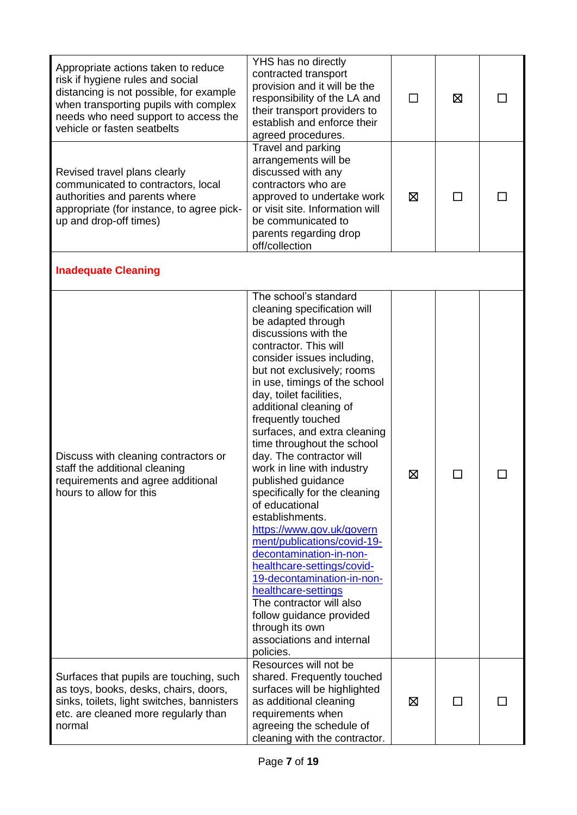| Appropriate actions taken to reduce<br>risk if hygiene rules and social<br>distancing is not possible, for example<br>when transporting pupils with complex<br>needs who need support to access the<br>vehicle or fasten seatbelts | YHS has no directly<br>contracted transport<br>provision and it will be the<br>responsibility of the LA and<br>their transport providers to<br>establish and enforce their<br>agreed procedures.                                                                                                                                                                                                                                                                                                                                                                                                                                                                                                                                                                                                                       |   | ⊠                           |  |
|------------------------------------------------------------------------------------------------------------------------------------------------------------------------------------------------------------------------------------|------------------------------------------------------------------------------------------------------------------------------------------------------------------------------------------------------------------------------------------------------------------------------------------------------------------------------------------------------------------------------------------------------------------------------------------------------------------------------------------------------------------------------------------------------------------------------------------------------------------------------------------------------------------------------------------------------------------------------------------------------------------------------------------------------------------------|---|-----------------------------|--|
| Revised travel plans clearly<br>communicated to contractors, local<br>authorities and parents where<br>appropriate (for instance, to agree pick-<br>up and drop-off times)                                                         | Travel and parking<br>arrangements will be<br>discussed with any<br>contractors who are<br>approved to undertake work<br>or visit site. Information will<br>be communicated to<br>parents regarding drop<br>off/collection                                                                                                                                                                                                                                                                                                                                                                                                                                                                                                                                                                                             | ⊠ | П                           |  |
| <b>Inadequate Cleaning</b>                                                                                                                                                                                                         |                                                                                                                                                                                                                                                                                                                                                                                                                                                                                                                                                                                                                                                                                                                                                                                                                        |   |                             |  |
| Discuss with cleaning contractors or<br>staff the additional cleaning<br>requirements and agree additional<br>hours to allow for this                                                                                              | The school's standard<br>cleaning specification will<br>be adapted through<br>discussions with the<br>contractor. This will<br>consider issues including,<br>but not exclusively; rooms<br>in use, timings of the school<br>day, toilet facilities,<br>additional cleaning of<br>frequently touched<br>surfaces, and extra cleaning<br>time throughout the school<br>day. The contractor will<br>work in line with industry<br>published guidance<br>specifically for the cleaning<br>of educational<br>establishments.<br>https://www.gov.uk/govern<br>ment/publications/covid-19-<br>decontamination-in-non-<br>healthcare-settings/covid-<br>19-decontamination-in-non-<br>healthcare-settings<br>The contractor will also<br>follow guidance provided<br>through its own<br>associations and internal<br>policies. | 区 | $\mathcal{L}_{\mathcal{A}}$ |  |
| Surfaces that pupils are touching, such<br>as toys, books, desks, chairs, doors,<br>sinks, toilets, light switches, bannisters<br>etc. are cleaned more regularly than<br>normal                                                   | Resources will not be<br>shared. Frequently touched<br>surfaces will be highlighted<br>as additional cleaning<br>requirements when<br>agreeing the schedule of<br>cleaning with the contractor.                                                                                                                                                                                                                                                                                                                                                                                                                                                                                                                                                                                                                        | ⊠ |                             |  |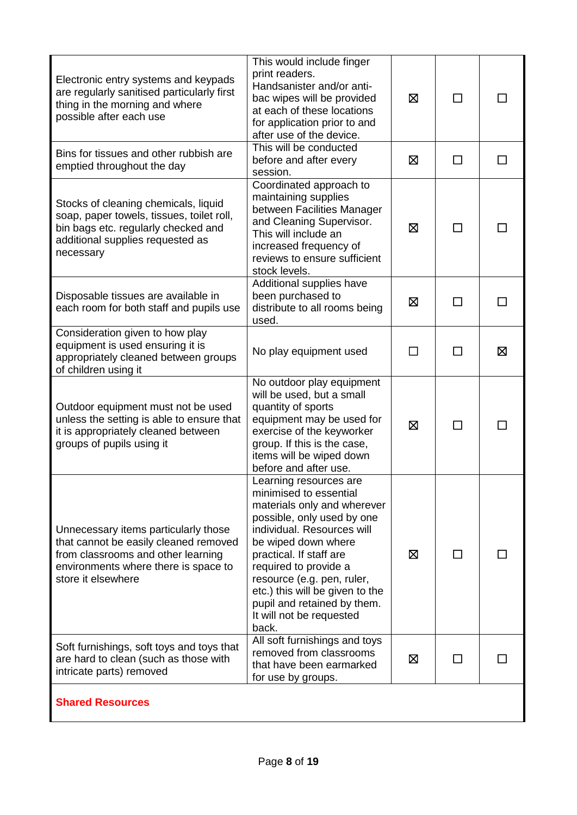| Electronic entry systems and keypads<br>are regularly sanitised particularly first<br>thing in the morning and where<br>possible after each use                                   | This would include finger<br>print readers.<br>Handsanister and/or anti-<br>bac wipes will be provided<br>at each of these locations<br>for application prior to and<br>after use of the device.                                                                                                                                                            | ⊠ | $\mathsf{L}$ |    |
|-----------------------------------------------------------------------------------------------------------------------------------------------------------------------------------|-------------------------------------------------------------------------------------------------------------------------------------------------------------------------------------------------------------------------------------------------------------------------------------------------------------------------------------------------------------|---|--------------|----|
| Bins for tissues and other rubbish are<br>emptied throughout the day                                                                                                              | This will be conducted<br>before and after every<br>session.                                                                                                                                                                                                                                                                                                | ⊠ | П            | ΙI |
| Stocks of cleaning chemicals, liquid<br>soap, paper towels, tissues, toilet roll,<br>bin bags etc. regularly checked and<br>additional supplies requested as<br>necessary         | Coordinated approach to<br>maintaining supplies<br>between Facilities Manager<br>and Cleaning Supervisor.<br>This will include an<br>increased frequency of<br>reviews to ensure sufficient<br>stock levels.                                                                                                                                                | ⊠ | ΙI           |    |
| Disposable tissues are available in<br>each room for both staff and pupils use                                                                                                    | Additional supplies have<br>been purchased to<br>distribute to all rooms being<br>used.                                                                                                                                                                                                                                                                     | ⊠ |              |    |
| Consideration given to how play<br>equipment is used ensuring it is<br>appropriately cleaned between groups<br>of children using it                                               | No play equipment used                                                                                                                                                                                                                                                                                                                                      | П | П            | 区  |
| Outdoor equipment must not be used<br>unless the setting is able to ensure that<br>it is appropriately cleaned between<br>groups of pupils using it                               | No outdoor play equipment<br>will be used, but a small<br>quantity of sports<br>equipment may be used for<br>exercise of the keyworker<br>group. If this is the case,<br>items will be wiped down<br>before and after use.                                                                                                                                  | ⊠ | ΙI           |    |
| Unnecessary items particularly those<br>that cannot be easily cleaned removed<br>from classrooms and other learning<br>environments where there is space to<br>store it elsewhere | Learning resources are<br>minimised to essential<br>materials only and wherever<br>possible, only used by one<br>individual. Resources will<br>be wiped down where<br>practical. If staff are<br>required to provide a<br>resource (e.g. pen, ruler,<br>etc.) this will be given to the<br>pupil and retained by them.<br>It will not be requested<br>back. | ⊠ | $\mathsf{L}$ |    |
| Soft furnishings, soft toys and toys that<br>are hard to clean (such as those with<br>intricate parts) removed                                                                    | All soft furnishings and toys<br>removed from classrooms<br>that have been earmarked<br>for use by groups.                                                                                                                                                                                                                                                  | ⊠ | ΙI           |    |
| <b>Shared Resources</b>                                                                                                                                                           |                                                                                                                                                                                                                                                                                                                                                             |   |              |    |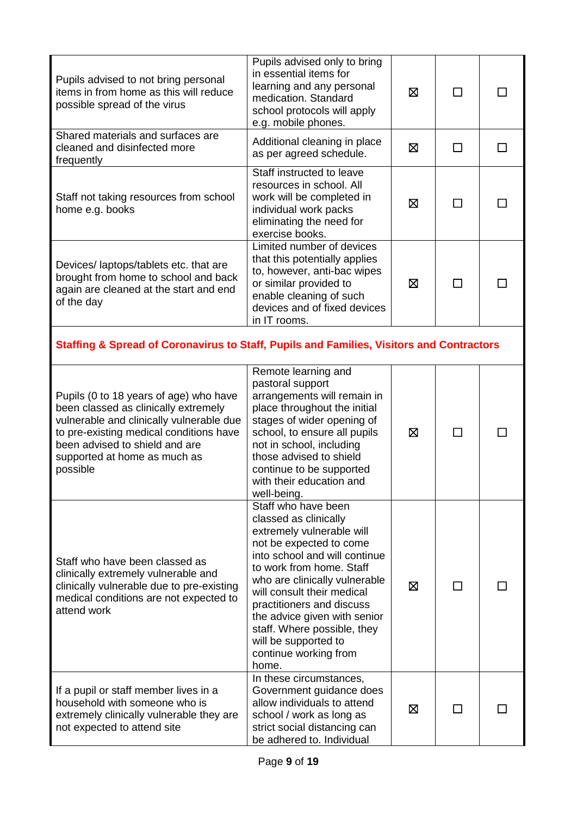| Pupils advised to not bring personal<br>items in from home as this will reduce<br>possible spread of the virus                                                                                                                                      | Pupils advised only to bring<br>in essential items for<br>learning and any personal<br>medication. Standard<br>school protocols will apply<br>e.g. mobile phones.                                                                                                                                                                                                                      | 区 |              |              |  |
|-----------------------------------------------------------------------------------------------------------------------------------------------------------------------------------------------------------------------------------------------------|----------------------------------------------------------------------------------------------------------------------------------------------------------------------------------------------------------------------------------------------------------------------------------------------------------------------------------------------------------------------------------------|---|--------------|--------------|--|
| Shared materials and surfaces are<br>cleaned and disinfected more<br>frequently                                                                                                                                                                     | Additional cleaning in place<br>as per agreed schedule.                                                                                                                                                                                                                                                                                                                                | 区 | $\mathsf{L}$ | $\mathsf{L}$ |  |
| Staff not taking resources from school<br>home e.g. books                                                                                                                                                                                           | Staff instructed to leave<br>resources in school. All<br>work will be completed in<br>individual work packs<br>eliminating the need for<br>exercise books.                                                                                                                                                                                                                             | ⊠ |              |              |  |
| Devices/ laptops/tablets etc. that are<br>brought from home to school and back<br>again are cleaned at the start and end<br>of the day                                                                                                              | Limited number of devices<br>that this potentially applies<br>to, however, anti-bac wipes<br>or similar provided to<br>enable cleaning of such<br>devices and of fixed devices<br>in IT rooms.                                                                                                                                                                                         | 区 |              |              |  |
| <b>Staffing &amp; Spread of Coronavirus to Staff, Pupils and Families, Visitors and Contractors</b>                                                                                                                                                 |                                                                                                                                                                                                                                                                                                                                                                                        |   |              |              |  |
| Pupils (0 to 18 years of age) who have<br>been classed as clinically extremely<br>vulnerable and clinically vulnerable due<br>to pre-existing medical conditions have<br>been advised to shield and are<br>supported at home as much as<br>possible | Remote learning and<br>pastoral support<br>arrangements will remain in<br>place throughout the initial<br>stages of wider opening of<br>school, to ensure all pupils<br>not in school, including<br>those advised to shield<br>continue to be supported<br>with their education and<br>well-being.                                                                                     | ⊠ | П            |              |  |
| Staff who have been classed as<br>clinically extremely vulnerable and<br>clinically vulnerable due to pre-existing<br>medical conditions are not expected to<br>attend work                                                                         | Staff who have been<br>classed as clinically<br>extremely vulnerable will<br>not be expected to come<br>into school and will continue<br>to work from home. Staff<br>who are clinically vulnerable<br>will consult their medical<br>practitioners and discuss<br>the advice given with senior<br>staff. Where possible, they<br>will be supported to<br>continue working from<br>home. | 区 |              |              |  |
| If a pupil or staff member lives in a<br>household with someone who is<br>extremely clinically vulnerable they are<br>not expected to attend site                                                                                                   | In these circumstances,<br>Government guidance does<br>allow individuals to attend<br>school / work as long as<br>strict social distancing can<br>be adhered to. Individual                                                                                                                                                                                                            | ⊠ |              |              |  |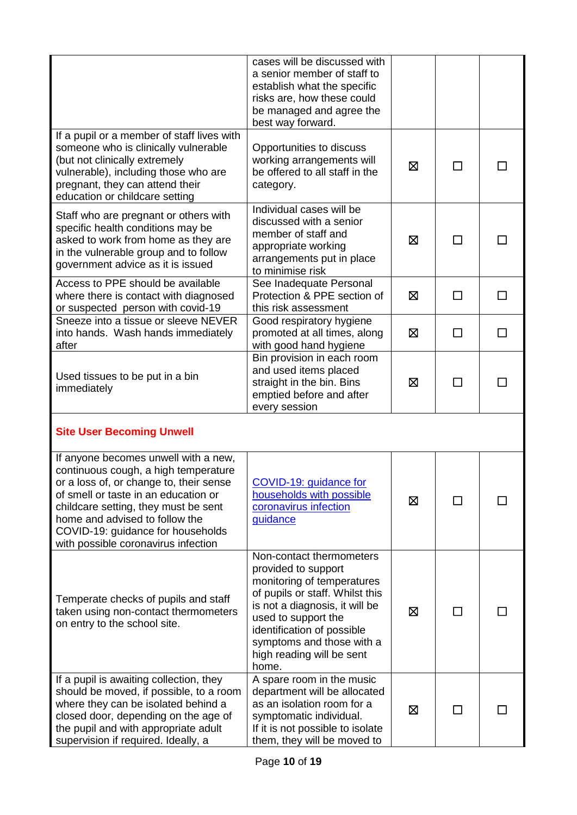|                                                                                                                                                                                                                                                                                                                       | cases will be discussed with<br>a senior member of staff to<br>establish what the specific<br>risks are, how these could<br>be managed and agree the<br>best way forward.                                                                                                  |   |              |  |
|-----------------------------------------------------------------------------------------------------------------------------------------------------------------------------------------------------------------------------------------------------------------------------------------------------------------------|----------------------------------------------------------------------------------------------------------------------------------------------------------------------------------------------------------------------------------------------------------------------------|---|--------------|--|
| If a pupil or a member of staff lives with<br>someone who is clinically vulnerable<br>(but not clinically extremely<br>vulnerable), including those who are<br>pregnant, they can attend their<br>education or childcare setting                                                                                      | Opportunities to discuss<br>working arrangements will<br>be offered to all staff in the<br>category.                                                                                                                                                                       | ⊠ | $\Box$       |  |
| Staff who are pregnant or others with<br>specific health conditions may be<br>asked to work from home as they are<br>in the vulnerable group and to follow<br>government advice as it is issued                                                                                                                       | Individual cases will be<br>discussed with a senior<br>member of staff and<br>appropriate working<br>arrangements put in place<br>to minimise risk                                                                                                                         | ⊠ | $\mathsf{L}$ |  |
| Access to PPE should be available<br>where there is contact with diagnosed<br>or suspected person with covid-19                                                                                                                                                                                                       | See Inadequate Personal<br>Protection & PPE section of<br>this risk assessment                                                                                                                                                                                             | ⊠ |              |  |
| Sneeze into a tissue or sleeve NEVER<br>into hands. Wash hands immediately<br>after                                                                                                                                                                                                                                   | Good respiratory hygiene<br>promoted at all times, along<br>with good hand hygiene                                                                                                                                                                                         | ⊠ | П            |  |
| Used tissues to be put in a bin<br>immediately                                                                                                                                                                                                                                                                        | Bin provision in each room<br>and used items placed<br>straight in the bin. Bins<br>emptied before and after<br>every session                                                                                                                                              | ⊠ |              |  |
| <b>Site User Becoming Unwell</b>                                                                                                                                                                                                                                                                                      |                                                                                                                                                                                                                                                                            |   |              |  |
| If anyone becomes unwell with a new,<br>continuous cough, a high temperature<br>or a loss of, or change to, their sense<br>of smell or taste in an education or<br>childcare setting, they must be sent<br>home and advised to follow the<br>COVID-19: guidance for households<br>with possible coronavirus infection | COVID-19: guidance for<br>households with possible<br>coronavirus infection<br>guidance                                                                                                                                                                                    | ⊠ |              |  |
| Temperate checks of pupils and staff<br>taken using non-contact thermometers<br>on entry to the school site.                                                                                                                                                                                                          | Non-contact thermometers<br>provided to support<br>monitoring of temperatures<br>of pupils or staff. Whilst this<br>is not a diagnosis, it will be<br>used to support the<br>identification of possible<br>symptoms and those with a<br>high reading will be sent<br>home. | ⊠ | $\mathbf{I}$ |  |
| If a pupil is awaiting collection, they<br>should be moved, if possible, to a room<br>where they can be isolated behind a<br>closed door, depending on the age of<br>the pupil and with appropriate adult<br>supervision if required. Ideally, a                                                                      | A spare room in the music<br>department will be allocated<br>as an isolation room for a<br>symptomatic individual.<br>If it is not possible to isolate<br>them, they will be moved to                                                                                      | ⊠ |              |  |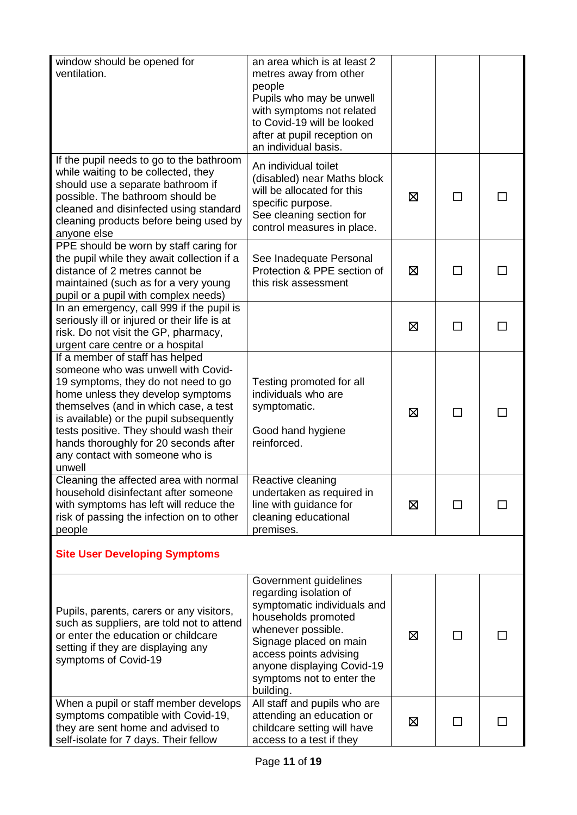| window should be opened for                                                          | an area which is at least 2                            |   |              |  |
|--------------------------------------------------------------------------------------|--------------------------------------------------------|---|--------------|--|
| ventilation.                                                                         | metres away from other                                 |   |              |  |
|                                                                                      | people                                                 |   |              |  |
|                                                                                      | Pupils who may be unwell                               |   |              |  |
|                                                                                      | with symptoms not related                              |   |              |  |
|                                                                                      | to Covid-19 will be looked                             |   |              |  |
|                                                                                      | after at pupil reception on                            |   |              |  |
|                                                                                      | an individual basis.                                   |   |              |  |
| If the pupil needs to go to the bathroom                                             | An individual toilet                                   |   |              |  |
| while waiting to be collected, they                                                  | (disabled) near Maths block                            |   |              |  |
| should use a separate bathroom if                                                    | will be allocated for this                             |   |              |  |
| possible. The bathroom should be                                                     | specific purpose.                                      | ⊠ |              |  |
| cleaned and disinfected using standard                                               | See cleaning section for                               |   |              |  |
| cleaning products before being used by                                               | control measures in place.                             |   |              |  |
| anyone else                                                                          |                                                        |   |              |  |
| PPE should be worn by staff caring for<br>the pupil while they await collection if a |                                                        |   |              |  |
| distance of 2 metres cannot be                                                       | See Inadequate Personal<br>Protection & PPE section of | ⊠ | ΙI           |  |
| maintained (such as for a very young                                                 | this risk assessment                                   |   |              |  |
| pupil or a pupil with complex needs)                                                 |                                                        |   |              |  |
| In an emergency, call 999 if the pupil is                                            |                                                        |   |              |  |
| seriously ill or injured or their life is at                                         |                                                        |   |              |  |
| risk. Do not visit the GP, pharmacy,                                                 |                                                        | ⊠ | $\Box$       |  |
| urgent care centre or a hospital                                                     |                                                        |   |              |  |
| If a member of staff has helped                                                      |                                                        |   |              |  |
| someone who was unwell with Covid-                                                   |                                                        |   |              |  |
| 19 symptoms, they do not need to go                                                  | Testing promoted for all                               |   |              |  |
| home unless they develop symptoms                                                    | individuals who are                                    |   |              |  |
| themselves (and in which case, a test                                                | symptomatic.                                           | ⊠ | $\mathbf{I}$ |  |
| is available) or the pupil subsequently                                              |                                                        |   |              |  |
| tests positive. They should wash their                                               | Good hand hygiene                                      |   |              |  |
| hands thoroughly for 20 seconds after                                                | reinforced.                                            |   |              |  |
| any contact with someone who is                                                      |                                                        |   |              |  |
| unwell                                                                               |                                                        |   |              |  |
| Cleaning the affected area with normal                                               | Reactive cleaning                                      |   |              |  |
| household disinfectant after someone                                                 | undertaken as required in                              |   |              |  |
| with symptoms has left will reduce the                                               | line with guidance for                                 | 区 |              |  |
| risk of passing the infection on to other                                            | cleaning educational<br>premises.                      |   |              |  |
| people                                                                               |                                                        |   |              |  |
| <b>Site User Developing Symptoms</b>                                                 |                                                        |   |              |  |
|                                                                                      |                                                        |   |              |  |
|                                                                                      | Government guidelines                                  |   |              |  |
|                                                                                      | regarding isolation of                                 |   |              |  |
|                                                                                      | symptomatic individuals and                            |   |              |  |
| Pupils, parents, carers or any visitors,                                             | households promoted                                    |   |              |  |
| such as suppliers, are told not to attend                                            | whenever possible.                                     |   |              |  |
| or enter the education or childcare                                                  | Signage placed on main                                 | 区 | $\Box$       |  |
| setting if they are displaying any                                                   | access points advising                                 |   |              |  |
| symptoms of Covid-19                                                                 | anyone displaying Covid-19                             |   |              |  |
|                                                                                      | symptoms not to enter the                              |   |              |  |
|                                                                                      | building.                                              |   |              |  |
| When a pupil or staff member develops                                                | All staff and pupils who are                           |   |              |  |
| symptoms compatible with Covid-19,                                                   | attending an education or                              | ⊠ |              |  |
| they are sent home and advised to                                                    | childcare setting will have                            |   |              |  |
| self-isolate for 7 days. Their fellow                                                | access to a test if they                               |   |              |  |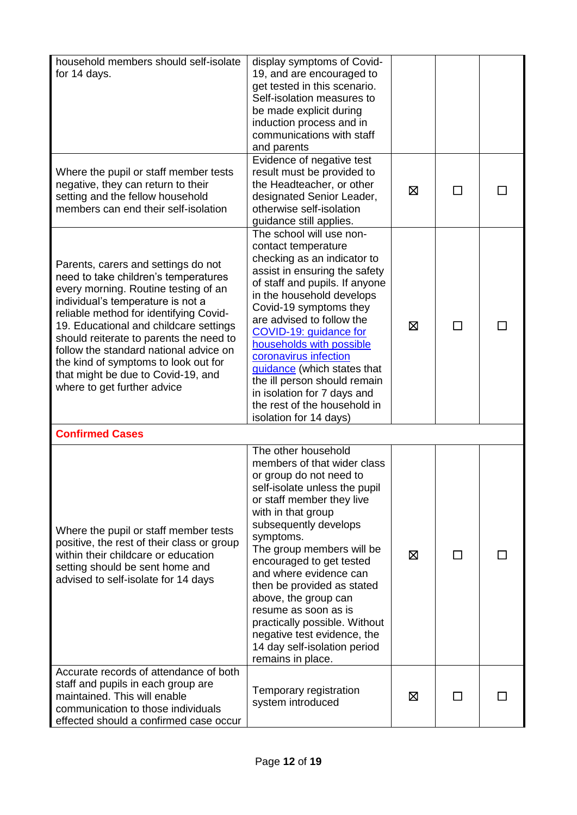| household members should self-isolate                                                                                                                                                                                                                                                                                                                                                                                                          |                                                                                                                                                                                                                                                                                                                                                                                                                                                                                               |   |              |  |
|------------------------------------------------------------------------------------------------------------------------------------------------------------------------------------------------------------------------------------------------------------------------------------------------------------------------------------------------------------------------------------------------------------------------------------------------|-----------------------------------------------------------------------------------------------------------------------------------------------------------------------------------------------------------------------------------------------------------------------------------------------------------------------------------------------------------------------------------------------------------------------------------------------------------------------------------------------|---|--------------|--|
| for 14 days.                                                                                                                                                                                                                                                                                                                                                                                                                                   | display symptoms of Covid-<br>19, and are encouraged to<br>get tested in this scenario.<br>Self-isolation measures to<br>be made explicit during<br>induction process and in<br>communications with staff<br>and parents                                                                                                                                                                                                                                                                      |   |              |  |
| Where the pupil or staff member tests<br>negative, they can return to their<br>setting and the fellow household<br>members can end their self-isolation                                                                                                                                                                                                                                                                                        | Evidence of negative test<br>result must be provided to<br>the Headteacher, or other<br>designated Senior Leader,<br>otherwise self-isolation<br>guidance still applies.                                                                                                                                                                                                                                                                                                                      | ⊠ |              |  |
| Parents, carers and settings do not<br>need to take children's temperatures<br>every morning. Routine testing of an<br>individual's temperature is not a<br>reliable method for identifying Covid-<br>19. Educational and childcare settings<br>should reiterate to parents the need to<br>follow the standard national advice on<br>the kind of symptoms to look out for<br>that might be due to Covid-19, and<br>where to get further advice | The school will use non-<br>contact temperature<br>checking as an indicator to<br>assist in ensuring the safety<br>of staff and pupils. If anyone<br>in the household develops<br>Covid-19 symptoms they<br>are advised to follow the<br>COVID-19: guidance for<br>households with possible<br>coronavirus infection<br>guidance (which states that<br>the ill person should remain<br>in isolation for 7 days and<br>the rest of the household in<br>isolation for 14 days)                  | ⊠ | $\mathsf{L}$ |  |
| <b>Confirmed Cases</b>                                                                                                                                                                                                                                                                                                                                                                                                                         |                                                                                                                                                                                                                                                                                                                                                                                                                                                                                               |   |              |  |
| Where the pupil or staff member tests<br>positive, the rest of their class or group<br>within their childcare or education<br>setting should be sent home and<br>advised to self-isolate for 14 days                                                                                                                                                                                                                                           | The other household<br>members of that wider class<br>or group do not need to<br>self-isolate unless the pupil<br>or staff member they live<br>with in that group<br>subsequently develops<br>symptoms.<br>The group members will be<br>encouraged to get tested<br>and where evidence can<br>then be provided as stated<br>above, the group can<br>resume as soon as is<br>practically possible. Without<br>negative test evidence, the<br>14 day self-isolation period<br>remains in place. | ⊠ | ΙI           |  |
| Accurate records of attendance of both<br>staff and pupils in each group are<br>maintained. This will enable<br>communication to those individuals<br>effected should a confirmed case occur                                                                                                                                                                                                                                                   | Temporary registration<br>system introduced                                                                                                                                                                                                                                                                                                                                                                                                                                                   | ⊠ |              |  |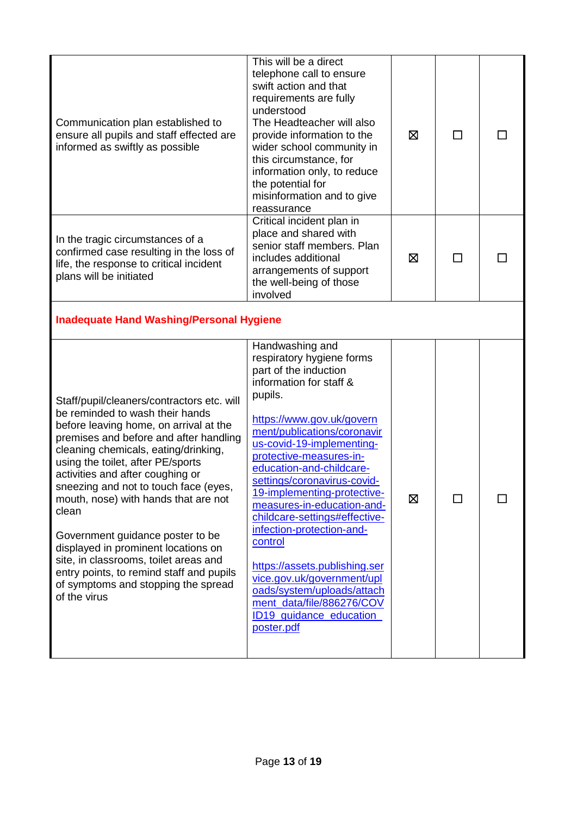| Communication plan established to<br>ensure all pupils and staff effected are<br>informed as swiftly as possible                                                                                                                                                                                                                                                                                                                                                                                                                                                                                    | This will be a direct<br>telephone call to ensure<br>swift action and that<br>requirements are fully<br>understood<br>The Headteacher will also<br>provide information to the<br>wider school community in<br>this circumstance, for<br>information only, to reduce<br>the potential for<br>misinformation and to give<br>reassurance                                                                                                                                                                                                                                                                      | ⊠ | $\mathsf{L}$ |  |
|-----------------------------------------------------------------------------------------------------------------------------------------------------------------------------------------------------------------------------------------------------------------------------------------------------------------------------------------------------------------------------------------------------------------------------------------------------------------------------------------------------------------------------------------------------------------------------------------------------|------------------------------------------------------------------------------------------------------------------------------------------------------------------------------------------------------------------------------------------------------------------------------------------------------------------------------------------------------------------------------------------------------------------------------------------------------------------------------------------------------------------------------------------------------------------------------------------------------------|---|--------------|--|
| In the tragic circumstances of a<br>confirmed case resulting in the loss of<br>life, the response to critical incident<br>plans will be initiated                                                                                                                                                                                                                                                                                                                                                                                                                                                   | Critical incident plan in<br>place and shared with<br>senior staff members. Plan<br>includes additional<br>arrangements of support<br>the well-being of those<br>involved                                                                                                                                                                                                                                                                                                                                                                                                                                  | ⊠ | ΙI           |  |
| <b>Inadequate Hand Washing/Personal Hygiene</b>                                                                                                                                                                                                                                                                                                                                                                                                                                                                                                                                                     |                                                                                                                                                                                                                                                                                                                                                                                                                                                                                                                                                                                                            |   |              |  |
| Staff/pupil/cleaners/contractors etc. will<br>be reminded to wash their hands<br>before leaving home, on arrival at the<br>premises and before and after handling<br>cleaning chemicals, eating/drinking,<br>using the toilet, after PE/sports<br>activities and after coughing or<br>sneezing and not to touch face (eyes,<br>mouth, nose) with hands that are not<br>clean<br>Government guidance poster to be<br>displayed in prominent locations on<br>site, in classrooms, toilet areas and<br>entry points, to remind staff and pupils<br>of symptoms and stopping the spread<br>of the virus | Handwashing and<br>respiratory hygiene forms<br>part of the induction<br>information for staff &<br>pupils.<br>https://www.gov.uk/govern<br>ment/publications/coronavir<br>us-covid-19-implementing-<br>protective-measures-in-<br>education-and-childcare-<br>settings/coronavirus-covid-<br>19-implementing-protective-<br>measures-in-education-and-<br>childcare-settings#effective-<br>infection-protection-and-<br>control<br>https://assets.publishing.ser<br>vice.gov.uk/government/upl<br>oads/system/uploads/attach<br>ment_data/file/886276/COV<br><b>ID19</b> guidance education<br>poster.pdf | 区 |              |  |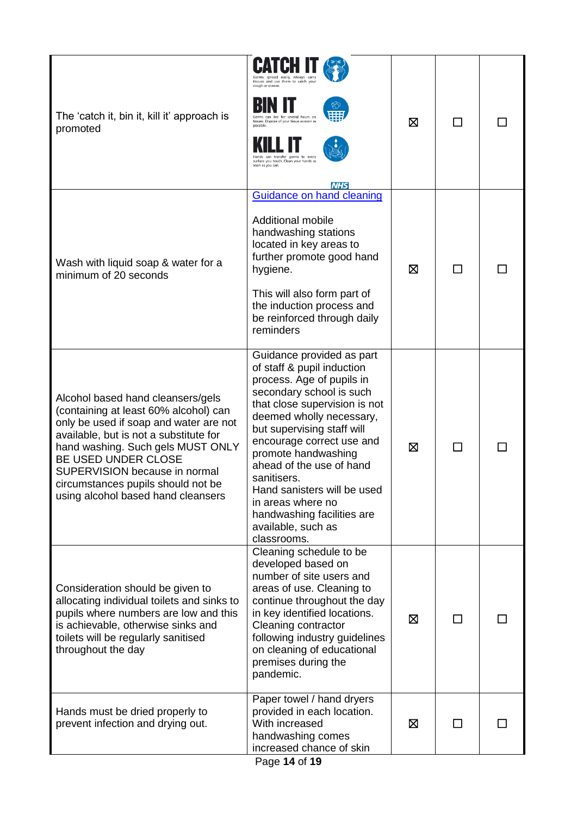| The 'catch it, bin it, kill it' approach is<br>promoted                                                                                                                                                                                                                                                                                 | Germs spread easily. Always carry<br>tissues and use them to catch you<br>cough or sneeze.<br>for several hours or<br>tissues. Dispose of your tissue as soon as<br>transfer germs to even<br>surface you touch. Clean your hands as<br>soon as you can.<br><b>NHS</b>                                                                                                                                                            | ⊠ | $\mathsf{L}$             |  |
|-----------------------------------------------------------------------------------------------------------------------------------------------------------------------------------------------------------------------------------------------------------------------------------------------------------------------------------------|-----------------------------------------------------------------------------------------------------------------------------------------------------------------------------------------------------------------------------------------------------------------------------------------------------------------------------------------------------------------------------------------------------------------------------------|---|--------------------------|--|
| Wash with liquid soap & water for a<br>minimum of 20 seconds                                                                                                                                                                                                                                                                            | Guidance on hand cleaning<br><b>Additional mobile</b><br>handwashing stations<br>located in key areas to<br>further promote good hand<br>hygiene.<br>This will also form part of<br>the induction process and<br>be reinforced through daily<br>reminders                                                                                                                                                                         | ⊠ | ΙI                       |  |
| Alcohol based hand cleansers/gels<br>(containing at least 60% alcohol) can<br>only be used if soap and water are not<br>available, but is not a substitute for<br>hand washing. Such gels MUST ONLY<br>BE USED UNDER CLOSE<br>SUPERVISION because in normal<br>circumstances pupils should not be<br>using alcohol based hand cleansers | Guidance provided as part<br>of staff & pupil induction<br>process. Age of pupils in<br>secondary school is such<br>that close supervision is not<br>deemed wholly necessary,<br>but supervising staff will<br>encourage correct use and<br>promote handwashing<br>ahead of the use of hand<br>sanitisers.<br>Hand sanisters will be used<br>in areas where no<br>handwashing facilities are<br>available, such as<br>classrooms. | ⊠ | $\overline{\phantom{a}}$ |  |
| Consideration should be given to<br>allocating individual toilets and sinks to<br>pupils where numbers are low and this<br>is achievable, otherwise sinks and<br>toilets will be regularly sanitised<br>throughout the day                                                                                                              | Cleaning schedule to be<br>developed based on<br>number of site users and<br>areas of use. Cleaning to<br>continue throughout the day<br>in key identified locations.<br>Cleaning contractor<br>following industry guidelines<br>on cleaning of educational<br>premises during the<br>pandemic.                                                                                                                                   | ⊠ | ΙI                       |  |
| Hands must be dried properly to<br>prevent infection and drying out.                                                                                                                                                                                                                                                                    | Paper towel / hand dryers<br>provided in each location.<br>With increased<br>handwashing comes<br>increased chance of skin<br>Page 14 of 19                                                                                                                                                                                                                                                                                       | ⊠ | $\Box$                   |  |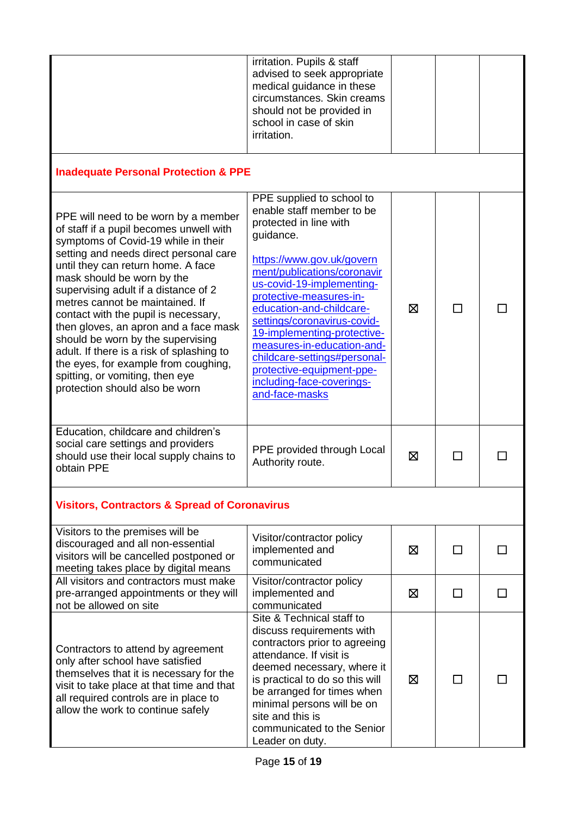|                                                                                                                                                                                                                                                                                                                                                                                                                                                                                                                                                                                                 | irritation. Pupils & staff<br>advised to seek appropriate<br>medical guidance in these<br>circumstances. Skin creams<br>should not be provided in<br>school in case of skin<br>irritation.                                                                                                                                                                                                                                                            |   |        |  |
|-------------------------------------------------------------------------------------------------------------------------------------------------------------------------------------------------------------------------------------------------------------------------------------------------------------------------------------------------------------------------------------------------------------------------------------------------------------------------------------------------------------------------------------------------------------------------------------------------|-------------------------------------------------------------------------------------------------------------------------------------------------------------------------------------------------------------------------------------------------------------------------------------------------------------------------------------------------------------------------------------------------------------------------------------------------------|---|--------|--|
| <b>Inadequate Personal Protection &amp; PPE</b>                                                                                                                                                                                                                                                                                                                                                                                                                                                                                                                                                 |                                                                                                                                                                                                                                                                                                                                                                                                                                                       |   |        |  |
| PPE will need to be worn by a member<br>of staff if a pupil becomes unwell with<br>symptoms of Covid-19 while in their<br>setting and needs direct personal care<br>until they can return home. A face<br>mask should be worn by the<br>supervising adult if a distance of 2<br>metres cannot be maintained. If<br>contact with the pupil is necessary,<br>then gloves, an apron and a face mask<br>should be worn by the supervising<br>adult. If there is a risk of splashing to<br>the eyes, for example from coughing,<br>spitting, or vomiting, then eye<br>protection should also be worn | PPE supplied to school to<br>enable staff member to be<br>protected in line with<br>guidance.<br>https://www.gov.uk/govern<br>ment/publications/coronavir<br>us-covid-19-implementing-<br>protective-measures-in-<br>education-and-childcare-<br>settings/coronavirus-covid-<br>19-implementing-protective-<br>measures-in-education-and-<br>childcare-settings#personal-<br>protective-equipment-ppe-<br>including-face-coverings-<br>and-face-masks | ⊠ | $\Box$ |  |
| Education, childcare and children's<br>social care settings and providers<br>should use their local supply chains to<br>obtain PPE                                                                                                                                                                                                                                                                                                                                                                                                                                                              | PPE provided through Local<br>Authority route.                                                                                                                                                                                                                                                                                                                                                                                                        | ⊠ |        |  |
| <b>Visitors, Contractors &amp; Spread of Coronavirus</b>                                                                                                                                                                                                                                                                                                                                                                                                                                                                                                                                        |                                                                                                                                                                                                                                                                                                                                                                                                                                                       |   |        |  |
| Visitors to the premises will be<br>discouraged and all non-essential<br>visitors will be cancelled postponed or<br>meeting takes place by digital means                                                                                                                                                                                                                                                                                                                                                                                                                                        | Visitor/contractor policy<br>implemented and<br>communicated                                                                                                                                                                                                                                                                                                                                                                                          | ⊠ | ΙI     |  |
| All visitors and contractors must make<br>pre-arranged appointments or they will<br>not be allowed on site                                                                                                                                                                                                                                                                                                                                                                                                                                                                                      | Visitor/contractor policy<br>implemented and<br>communicated                                                                                                                                                                                                                                                                                                                                                                                          | 区 | ΙI     |  |
| Contractors to attend by agreement<br>only after school have satisfied<br>themselves that it is necessary for the<br>visit to take place at that time and that<br>all required controls are in place to<br>allow the work to continue safely                                                                                                                                                                                                                                                                                                                                                    | Site & Technical staff to<br>discuss requirements with<br>contractors prior to agreeing<br>attendance. If visit is<br>deemed necessary, where it<br>is practical to do so this will<br>be arranged for times when<br>minimal persons will be on<br>site and this is<br>communicated to the Senior<br>Leader on duty.                                                                                                                                  | ⊠ |        |  |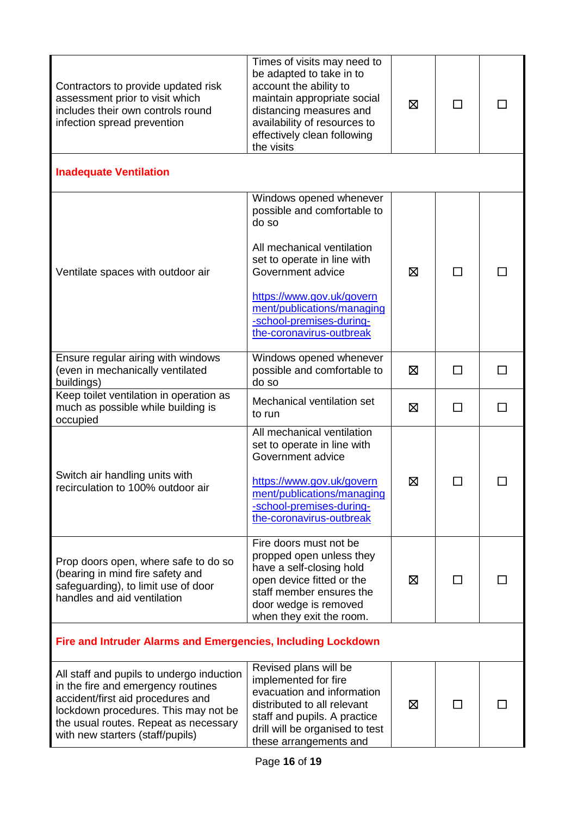| Contractors to provide updated risk<br>assessment prior to visit which<br>includes their own controls round<br>infection spread prevention                                                                                                | Times of visits may need to<br>be adapted to take in to<br>account the ability to<br>maintain appropriate social<br>distancing measures and<br>availability of resources to<br>effectively clean following<br>the visits | ⊠ | ΙI           |        |
|-------------------------------------------------------------------------------------------------------------------------------------------------------------------------------------------------------------------------------------------|--------------------------------------------------------------------------------------------------------------------------------------------------------------------------------------------------------------------------|---|--------------|--------|
| <b>Inadequate Ventilation</b>                                                                                                                                                                                                             |                                                                                                                                                                                                                          |   |              |        |
| Ventilate spaces with outdoor air                                                                                                                                                                                                         | Windows opened whenever<br>possible and comfortable to<br>do so<br>All mechanical ventilation<br>set to operate in line with<br>Government advice                                                                        | ⊠ | П            |        |
|                                                                                                                                                                                                                                           | https://www.gov.uk/govern<br>ment/publications/managing<br>-school-premises-during-<br>the-coronavirus-outbreak                                                                                                          |   |              |        |
| Ensure regular airing with windows<br>(even in mechanically ventilated<br>buildings)                                                                                                                                                      | Windows opened whenever<br>possible and comfortable to<br>do so                                                                                                                                                          | ⊠ | П            | $\Box$ |
| Keep toilet ventilation in operation as<br>much as possible while building is<br>occupied                                                                                                                                                 | Mechanical ventilation set<br>to run                                                                                                                                                                                     | 区 | □            | □      |
| Switch air handling units with<br>recirculation to 100% outdoor air                                                                                                                                                                       | All mechanical ventilation<br>set to operate in line with<br>Government advice<br>https://www.gov.uk/govern<br>ment/publications/managing<br>-school-premises-during-<br>the-coronavirus-outbreak                        | ⊠ |              |        |
| Prop doors open, where safe to do so<br>(bearing in mind fire safety and<br>safeguarding), to limit use of door<br>handles and aid ventilation                                                                                            | Fire doors must not be<br>propped open unless they<br>have a self-closing hold<br>open device fitted or the<br>staff member ensures the<br>door wedge is removed<br>when they exit the room.                             | ⊠ | $\mathsf{L}$ |        |
| Fire and Intruder Alarms and Emergencies, Including Lockdown                                                                                                                                                                              |                                                                                                                                                                                                                          |   |              |        |
| All staff and pupils to undergo induction<br>in the fire and emergency routines<br>accident/first aid procedures and<br>lockdown procedures. This may not be<br>the usual routes. Repeat as necessary<br>with new starters (staff/pupils) | Revised plans will be<br>implemented for fire<br>evacuation and information<br>distributed to all relevant<br>staff and pupils. A practice<br>drill will be organised to test<br>these arrangements and                  | ⊠ | П            |        |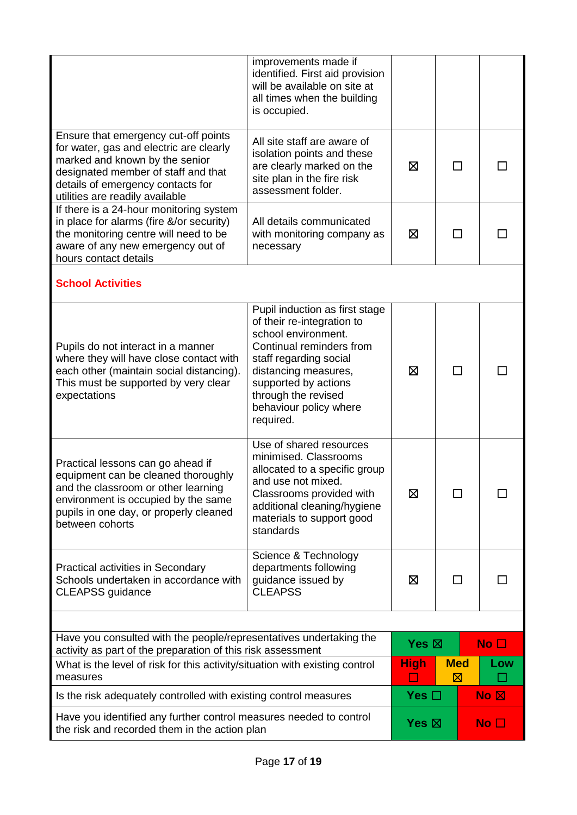|                                                                                                                                                                                                                                  | improvements made if<br>identified. First aid provision<br>will be available on site at<br>all times when the building<br>is occupied.                                                                                                                  |                 |                           |  |                                                  |
|----------------------------------------------------------------------------------------------------------------------------------------------------------------------------------------------------------------------------------|---------------------------------------------------------------------------------------------------------------------------------------------------------------------------------------------------------------------------------------------------------|-----------------|---------------------------|--|--------------------------------------------------|
| Ensure that emergency cut-off points<br>for water, gas and electric are clearly<br>marked and known by the senior<br>designated member of staff and that<br>details of emergency contacts for<br>utilities are readily available | All site staff are aware of<br>isolation points and these<br>are clearly marked on the<br>site plan in the fire risk<br>assessment folder.                                                                                                              | ⊠               | П                         |  |                                                  |
| If there is a 24-hour monitoring system<br>in place for alarms (fire &/or security)<br>the monitoring centre will need to be<br>aware of any new emergency out of<br>hours contact details                                       | All details communicated<br>with monitoring company as<br>necessary                                                                                                                                                                                     | ⊠               | ΙI                        |  |                                                  |
| <b>School Activities</b>                                                                                                                                                                                                         |                                                                                                                                                                                                                                                         |                 |                           |  |                                                  |
| Pupils do not interact in a manner<br>where they will have close contact with<br>each other (maintain social distancing).<br>This must be supported by very clear<br>expectations                                                | Pupil induction as first stage<br>of their re-integration to<br>school environment.<br>Continual reminders from<br>staff regarding social<br>distancing measures,<br>supported by actions<br>through the revised<br>behaviour policy where<br>required. | 冈               | $\blacksquare$            |  |                                                  |
| Practical lessons can go ahead if<br>equipment can be cleaned thoroughly<br>and the classroom or other learning<br>environment is occupied by the same<br>pupils in one day, or properly cleaned<br>between cohorts              | Use of shared resources<br>minimised. Classrooms<br>allocated to a specific group<br>and use not mixed.<br>Classrooms provided with<br>additional cleaning/hygiene<br>materials to support good<br>standards                                            | 区               |                           |  |                                                  |
| Practical activities in Secondary<br>Schools undertaken in accordance with<br><b>CLEAPSS</b> guidance                                                                                                                            | Science & Technology<br>departments following<br>guidance issued by<br><b>CLEAPSS</b>                                                                                                                                                                   | ⊠               |                           |  |                                                  |
|                                                                                                                                                                                                                                  |                                                                                                                                                                                                                                                         |                 |                           |  |                                                  |
| Have you consulted with the people/representatives undertaking the<br>activity as part of the preparation of this risk assessment                                                                                                |                                                                                                                                                                                                                                                         | Yes $\boxtimes$ |                           |  | No <sub>1</sub>                                  |
| What is the level of risk for this activity/situation with existing control<br>measures                                                                                                                                          |                                                                                                                                                                                                                                                         | <b>High</b>     | <b>Med</b><br>$\boxtimes$ |  | Low                                              |
| Is the risk adequately controlled with existing control measures                                                                                                                                                                 |                                                                                                                                                                                                                                                         | Yes $\square$   |                           |  | $\overline{\mathsf{No}}$ $\overline{\mathsf{N}}$ |
| Have you identified any further control measures needed to control<br>the risk and recorded them in the action plan                                                                                                              |                                                                                                                                                                                                                                                         | Yes $\boxtimes$ |                           |  | No $\Box$                                        |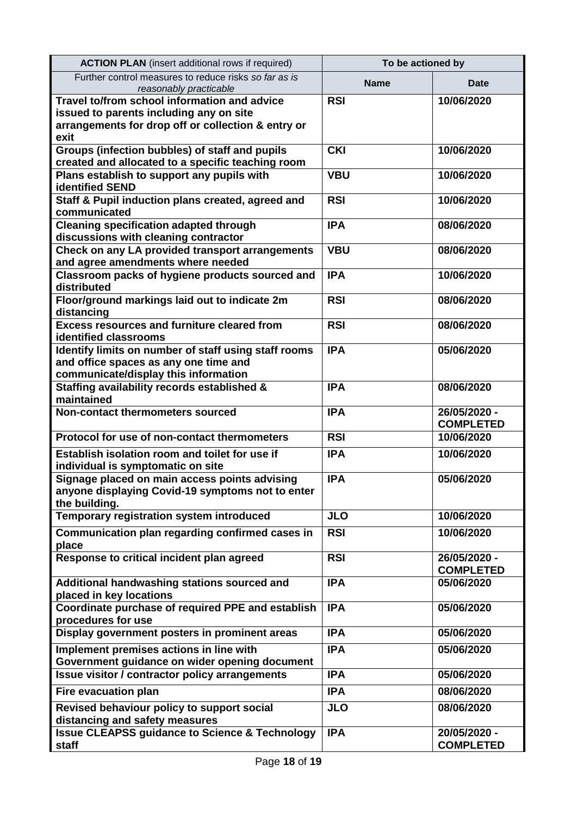| <b>ACTION PLAN</b> (insert additional rows if required)                                                                                      | To be actioned by |                                  |
|----------------------------------------------------------------------------------------------------------------------------------------------|-------------------|----------------------------------|
| Further control measures to reduce risks so far as is<br>reasonably practicable                                                              | <b>Name</b>       | Date                             |
| Travel to/from school information and advice                                                                                                 | <b>RSI</b>        | 10/06/2020                       |
| issued to parents including any on site                                                                                                      |                   |                                  |
| arrangements for drop off or collection & entry or<br>exit                                                                                   |                   |                                  |
| Groups (infection bubbles) of staff and pupils                                                                                               | <b>CKI</b>        | 10/06/2020                       |
| created and allocated to a specific teaching room                                                                                            |                   |                                  |
| Plans establish to support any pupils with<br>identified SEND                                                                                | <b>VBU</b>        | 10/06/2020                       |
| Staff & Pupil induction plans created, agreed and<br>communicated                                                                            | <b>RSI</b>        | 10/06/2020                       |
| <b>Cleaning specification adapted through</b><br>discussions with cleaning contractor                                                        | <b>IPA</b>        | 08/06/2020                       |
| Check on any LA provided transport arrangements<br>and agree amendments where needed                                                         | <b>VBU</b>        | 08/06/2020                       |
| Classroom packs of hygiene products sourced and<br>distributed                                                                               | <b>IPA</b>        | 10/06/2020                       |
| Floor/ground markings laid out to indicate 2m<br>distancing                                                                                  | <b>RSI</b>        | 08/06/2020                       |
| <b>Excess resources and furniture cleared from</b><br>identified classrooms                                                                  | <b>RSI</b>        | 08/06/2020                       |
| <b>Identify limits on number of staff using staff rooms</b><br>and office spaces as any one time and<br>communicate/display this information | <b>IPA</b>        | 05/06/2020                       |
| Staffing availability records established &<br>maintained                                                                                    | <b>IPA</b>        | 08/06/2020                       |
| Non-contact thermometers sourced                                                                                                             | <b>IPA</b>        | 26/05/2020 -<br><b>COMPLETED</b> |
| Protocol for use of non-contact thermometers                                                                                                 | <b>RSI</b>        | 10/06/2020                       |
| Establish isolation room and toilet for use if<br>individual is symptomatic on site                                                          | <b>IPA</b>        | 10/06/2020                       |
| Signage placed on main access points advising<br>anyone displaying Covid-19 symptoms not to enter<br>the building.                           | <b>IPA</b>        | 05/06/2020                       |
| Temporary registration system introduced                                                                                                     | <b>JLO</b>        | 10/06/2020                       |
| Communication plan regarding confirmed cases in<br>place                                                                                     | <b>RSI</b>        | 10/06/2020                       |
| Response to critical incident plan agreed                                                                                                    | <b>RSI</b>        | 26/05/2020 -<br><b>COMPLETED</b> |
| Additional handwashing stations sourced and<br>placed in key locations                                                                       | <b>IPA</b>        | 05/06/2020                       |
| Coordinate purchase of required PPE and establish<br>procedures for use                                                                      | <b>IPA</b>        | 05/06/2020                       |
| Display government posters in prominent areas                                                                                                | <b>IPA</b>        | 05/06/2020                       |
| Implement premises actions in line with<br>Government guidance on wider opening document                                                     | <b>IPA</b>        | 05/06/2020                       |
| <b>Issue visitor / contractor policy arrangements</b>                                                                                        | <b>IPA</b>        | 05/06/2020                       |
| <b>Fire evacuation plan</b>                                                                                                                  | <b>IPA</b>        | 08/06/2020                       |
| Revised behaviour policy to support social<br>distancing and safety measures                                                                 | <b>JLO</b>        | 08/06/2020                       |
| <b>Issue CLEAPSS guidance to Science &amp; Technology</b><br>staff                                                                           | <b>IPA</b>        | 20/05/2020 -<br><b>COMPLETED</b> |